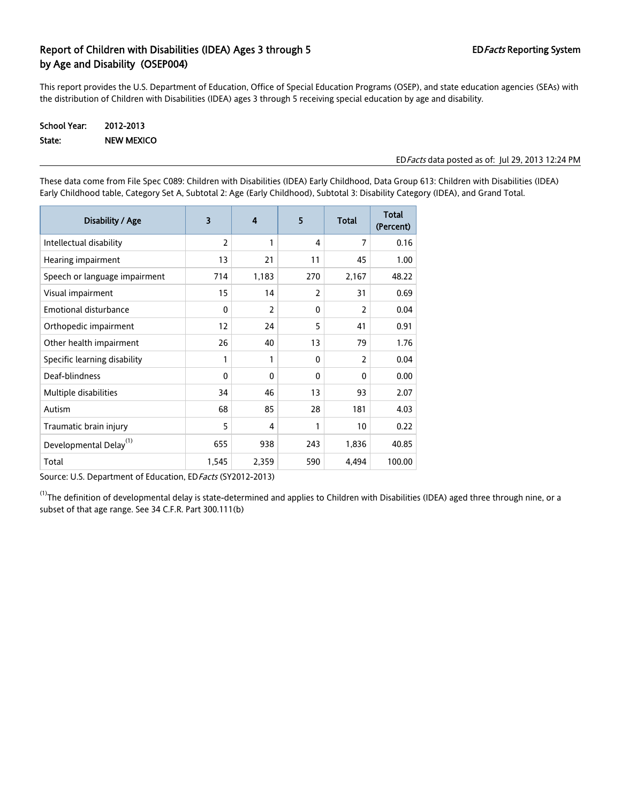# Report of Children with Disabilities (IDEA) Ages 3 through 5 EDFacts Reporting System by Age and Disability (OSEP004)

This report provides the U.S. Department of Education, Office of Special Education Programs (OSEP), and state education agencies (SEAs) with the distribution of Children with Disabilities (IDEA) ages 3 through 5 receiving special education by age and disability.

## School Year: 2012-2013 State: NEW MEXICO

#### EDFacts data posted as of: Jul 29, 2013 12:24 PM

These data come from File Spec C089: Children with Disabilities (IDEA) Early Childhood, Data Group 613: Children with Disabilities (IDEA) Early Childhood table, Category Set A, Subtotal 2: Age (Early Childhood), Subtotal 3: Disability Category (IDEA), and Grand Total.

| Disability / Age                   | 3              | $\overline{\mathbf{4}}$ | 5            | <b>Total</b>   | <b>Total</b><br>(Percent) |
|------------------------------------|----------------|-------------------------|--------------|----------------|---------------------------|
| Intellectual disability            | $\overline{2}$ | 1                       | 4            | 7              | 0.16                      |
| Hearing impairment                 | 13             | 21                      | 11           | 45             | 1.00                      |
| Speech or language impairment      | 714            | 1,183                   | 270          | 2,167          | 48.22                     |
| Visual impairment                  | 15             | 14                      | 2            | 31             | 0.69                      |
| <b>Emotional disturbance</b>       | $\Omega$       | 2                       | 0            | $\overline{2}$ | 0.04                      |
| Orthopedic impairment              | 12             | 24                      | 5            | 41             | 0.91                      |
| Other health impairment            | 26             | 40                      | 13           | 79             | 1.76                      |
| Specific learning disability       | 1              | 1                       | 0            | $\overline{2}$ | 0.04                      |
| Deaf-blindness                     | $\Omega$       | $\mathbf{0}$            | $\mathbf{0}$ | $\mathbf{0}$   | 0.00                      |
| Multiple disabilities              | 34             | 46                      | 13           | 93             | 2.07                      |
| Autism                             | 68             | 85                      | 28           | 181            | 4.03                      |
| Traumatic brain injury             | 5              | 4                       | 1            | 10             | 0.22                      |
| Developmental Delay <sup>(1)</sup> | 655            | 938                     | 243          | 1,836          | 40.85                     |
| Total                              | 1,545          | 2,359                   | 590          | 4,494          | 100.00                    |

Source: U.S. Department of Education, ED Facts (SY2012-2013)

 $^{(1)}$ The definition of developmental delay is state-determined and applies to Children with Disabilities (IDEA) aged three through nine, or a subset of that age range. See 34 C.F.R. Part 300.111(b)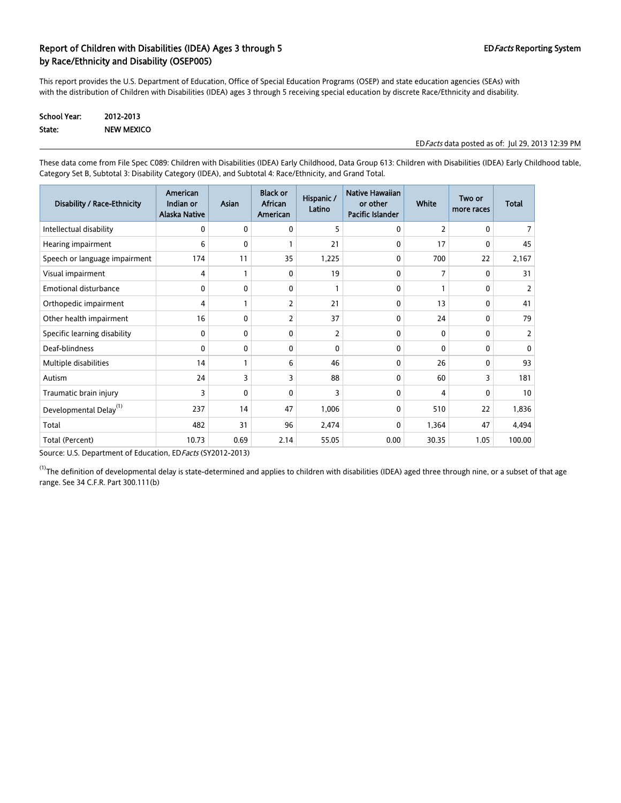### Report of Children with Disabilities (IDEA) Ages 3 through 5 EDFacts Reporting System 6 EDFacts Reporting System by Race/Ethnicity and Disability (OSEP005)

This report provides the U.S. Department of Education, Office of Special Education Programs (OSEP) and state education agencies (SEAs) with with the distribution of Children with Disabilities (IDEA) ages 3 through 5 receiving special education by discrete Race/Ethnicity and disability.

| School Year: | 2012-2013         |
|--------------|-------------------|
| State:       | <b>NEW MEXICO</b> |

EDFacts data posted as of: Jul 29, 2013 12:39 PM

These data come from File Spec C089: Children with Disabilities (IDEA) Early Childhood, Data Group 613: Children with Disabilities (IDEA) Early Childhood table, Category Set B, Subtotal 3: Disability Category (IDEA), and Subtotal 4: Race/Ethnicity, and Grand Total.

| Disability / Race-Ethnicity        | American<br>Indian or<br><b>Alaska Native</b> | Asian | <b>Black or</b><br>African<br>American | Hispanic /<br>Latino | Native Hawaiian<br>or other<br>Pacific Islander | <b>White</b>   | Two or<br>more races | <b>Total</b>   |
|------------------------------------|-----------------------------------------------|-------|----------------------------------------|----------------------|-------------------------------------------------|----------------|----------------------|----------------|
| Intellectual disability            | 0                                             | 0     | 0                                      | 5                    | 0                                               | 2              | 0                    |                |
| Hearing impairment                 | 6                                             | 0     |                                        | 21                   | 0                                               | 17             | 0                    | 45             |
| Speech or language impairment      | 174                                           | 11    | 35                                     | 1,225                | 0                                               | 700            | 22                   | 2,167          |
| Visual impairment                  | 4                                             |       | $\mathbf{0}$                           | 19                   | $\mathbf{0}$                                    | $\overline{7}$ | 0                    | 31             |
| <b>Emotional disturbance</b>       | 0                                             | 0     | $\mathbf{0}$                           |                      | 0                                               |                | 0                    |                |
| Orthopedic impairment              | 4                                             |       | 2                                      | 21                   | 0                                               | 13             | 0                    | 41             |
| Other health impairment            | 16                                            | 0     | 2                                      | 37                   | 0                                               | 24             | 0                    | 79             |
| Specific learning disability       | 0                                             | 0     | 0                                      | 2                    | 0                                               | $\mathbf{0}$   | 0                    | $\overline{2}$ |
| Deaf-blindness                     | 0                                             | 0     | 0                                      | 0                    | 0                                               | 0              | 0                    | 0              |
| Multiple disabilities              | 14                                            |       | 6                                      | 46                   | 0                                               | 26             | 0                    | 93             |
| Autism                             | 24                                            | 3     | 3                                      | 88                   | 0                                               | 60             | 3                    | 181            |
| Traumatic brain injury             | 3                                             | 0     | 0                                      | 3                    | 0                                               | 4              | 0                    | 10             |
| Developmental Delay <sup>(1)</sup> | 237                                           | 14    | 47                                     | 1,006                | $\mathbf 0$                                     | 510            | 22                   | 1,836          |
| Total                              | 482                                           | 31    | 96                                     | 2,474                | 0                                               | 1,364          | 47                   | 4,494          |
| Total (Percent)                    | 10.73                                         | 0.69  | 2.14                                   | 55.05                | 0.00                                            | 30.35          | 1.05                 | 100.00         |

Source: U.S. Department of Education, ED Facts (SY2012-2013)

 $^{(1)}$ The definition of developmental delay is state-determined and applies to children with disabilities (IDEA) aged three through nine, or a subset of that age range. See 34 C.F.R. Part 300.111(b)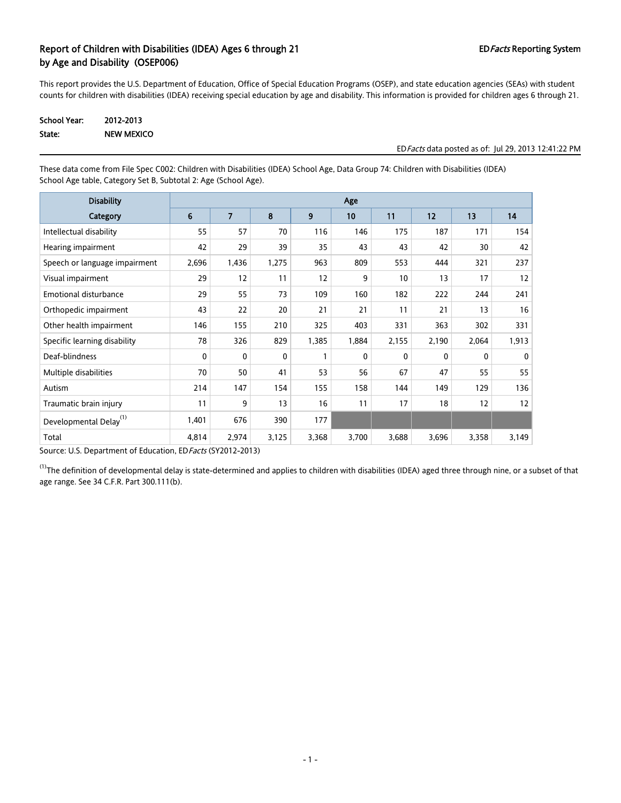## Report of Children with Disabilities (IDEA) Ages 6 through 21 EDFacts Reporting System by Age and Disability (OSEP006)

This report provides the U.S. Department of Education, Office of Special Education Programs (OSEP), and state education agencies (SEAs) with student counts for children with disabilities (IDEA) receiving special education by age and disability. This information is provided for children ages 6 through 21.

| <b>School Year:</b> | 2012-2013  |
|---------------------|------------|
| State:              | NEW MEXICO |

#### EDFacts data posted as of: Jul 29, 2013 12:41:22 PM

These data come from File Spec C002: Children with Disabilities (IDEA) School Age, Data Group 74: Children with Disabilities (IDEA) School Age table, Category Set B, Subtotal 2: Age (School Age).

| <b>Disability</b>                  |       | Age            |       |       |       |              |              |              |              |
|------------------------------------|-------|----------------|-------|-------|-------|--------------|--------------|--------------|--------------|
| Category                           | 6     | $\overline{7}$ | 8     | 9     | 10    | 11           | 12           | 13           | 14           |
| Intellectual disability            | 55    | 57             | 70    | 116   | 146   | 175          | 187          | 171          | 154          |
| Hearing impairment                 | 42    | 29             | 39    | 35    | 43    | 43           | 42           | 30           | 42           |
| Speech or language impairment      | 2,696 | 1,436          | 1,275 | 963   | 809   | 553          | 444          | 321          | 237          |
| Visual impairment                  | 29    | 12             | 11    | 12    | 9     | 10           | 13           | 17           | 12           |
| <b>Emotional disturbance</b>       | 29    | 55             | 73    | 109   | 160   | 182          | 222          | 244          | 241          |
| Orthopedic impairment              | 43    | 22             | 20    | 21    | 21    | 11           | 21           | 13           | 16           |
| Other health impairment            | 146   | 155            | 210   | 325   | 403   | 331          | 363          | 302          | 331          |
| Specific learning disability       | 78    | 326            | 829   | 1,385 | 1,884 | 2,155        | 2,190        | 2,064        | 1,913        |
| Deaf-blindness                     | 0     | 0              | 0     | 1     | 0     | $\mathbf{0}$ | $\mathbf{0}$ | $\mathbf{0}$ | $\mathbf{0}$ |
| Multiple disabilities              | 70    | 50             | 41    | 53    | 56    | 67           | 47           | 55           | 55           |
| Autism                             | 214   | 147            | 154   | 155   | 158   | 144          | 149          | 129          | 136          |
| Traumatic brain injury             | 11    | 9              | 13    | 16    | 11    | 17           | 18           | 12           | 12           |
| Developmental Delay <sup>(1)</sup> | 1,401 | 676            | 390   | 177   |       |              |              |              |              |
| Total                              | 4,814 | 2,974          | 3,125 | 3,368 | 3,700 | 3,688        | 3,696        | 3,358        | 3,149        |

Source: U.S. Department of Education, EDFacts (SY2012-2013)

 $^{(1)}$ The definition of developmental delay is state-determined and applies to children with disabilities (IDEA) aged three through nine, or a subset of that age range. See 34 C.F.R. Part 300.111(b).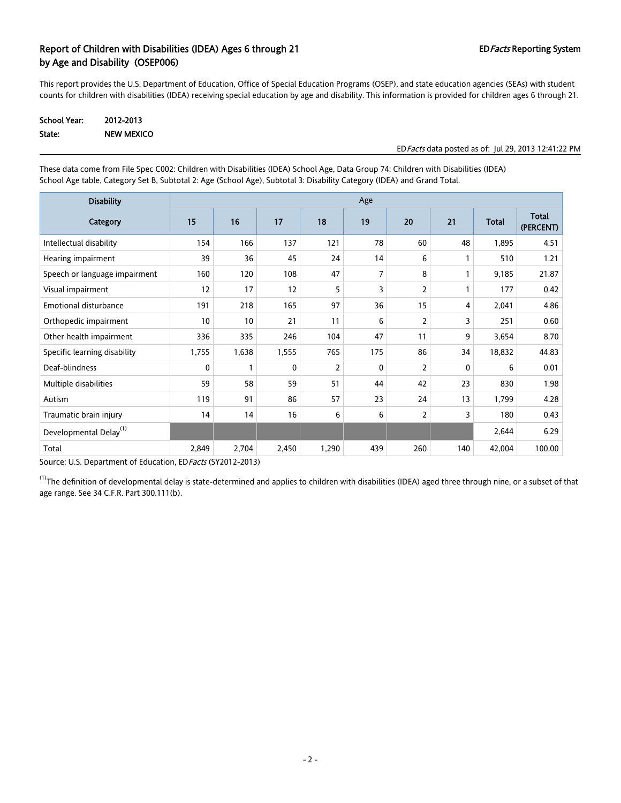## Report of Children with Disabilities (IDEA) Ages 6 through 21 EDFacts Reporting System by Age and Disability (OSEP006)

This report provides the U.S. Department of Education, Office of Special Education Programs (OSEP), and state education agencies (SEAs) with student counts for children with disabilities (IDEA) receiving special education by age and disability. This information is provided for children ages 6 through 21.

| <b>School Year:</b> | 2012-2013  |
|---------------------|------------|
| State:              | NEW MEXICO |

#### EDFacts data posted as of: Jul 29, 2013 12:41:22 PM

These data come from File Spec C002: Children with Disabilities (IDEA) School Age, Data Group 74: Children with Disabilities (IDEA) School Age table, Category Set B, Subtotal 2: Age (School Age), Subtotal 3: Disability Category (IDEA) and Grand Total.

| <b>Disability</b>                  | Age          |                 |       |       |              |     |     |              |                           |
|------------------------------------|--------------|-----------------|-------|-------|--------------|-----|-----|--------------|---------------------------|
| Category                           | 15           | 16              | 17    | 18    | 19           | 20  | 21  | <b>Total</b> | <b>Total</b><br>(PERCENT) |
| Intellectual disability            | 154          | 166             | 137   | 121   | 78           | 60  | 48  | 1,895        | 4.51                      |
| Hearing impairment                 | 39           | 36              | 45    | 24    | 14           | 6   |     | 510          | 1.21                      |
| Speech or language impairment      | 160          | 120             | 108   | 47    | 7            | 8   |     | 9,185        | 21.87                     |
| Visual impairment                  | 12           | 17              | 12    | 5     | 3            | 2   |     | 177          | 0.42                      |
| <b>Emotional disturbance</b>       | 191          | 218             | 165   | 97    | 36           | 15  | 4   | 2,041        | 4.86                      |
| Orthopedic impairment              | 10           | 10              | 21    | 11    | 6            | 2   | 3   | 251          | 0.60                      |
| Other health impairment            | 336          | 335             | 246   | 104   | 47           | 11  | 9   | 3,654        | 8.70                      |
| Specific learning disability       | 1,755        | 1,638           | 1,555 | 765   | 175          | 86  | 34  | 18,832       | 44.83                     |
| Deaf-blindness                     | $\mathbf{0}$ | 1               | 0     | 2     | $\mathbf{0}$ | 2   | 0   | 6            | 0.01                      |
| Multiple disabilities              | 59           | 58              | 59    | 51    | 44           | 42  | 23  | 830          | 1.98                      |
| Autism                             | 119          | 91              | 86    | 57    | 23           | 24  | 13  | 1,799        | 4.28                      |
| Traumatic brain injury             | 14           | 14              | 16    | 6     | 6            | 2   | 3   | 180          | 0.43                      |
| Developmental Delay <sup>(1)</sup> |              |                 |       |       |              |     |     | 2,644        | 6.29                      |
| Total                              | 2,849        | 2,704<br>$\sim$ | 2,450 | 1,290 | 439          | 260 | 140 | 42,004       | 100.00                    |

Source: U.S. Department of Education, ED Facts (SY2012-2013)

 $^{(1)}$ The definition of developmental delay is state-determined and applies to children with disabilities (IDEA) aged three through nine, or a subset of that age range. See 34 C.F.R. Part 300.111(b).